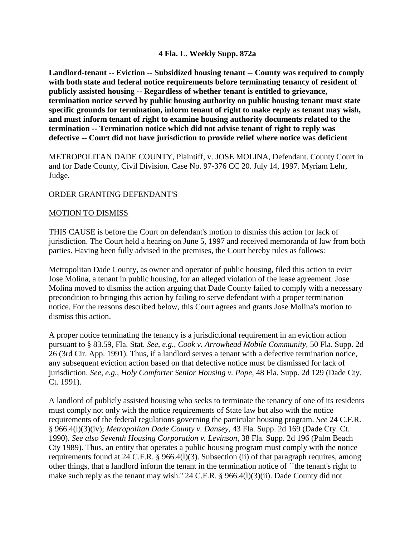## **4 Fla. L. Weekly Supp. 872a**

**Landlord-tenant -- Eviction -- Subsidized housing tenant -- County was required to comply with both state and federal notice requirements before terminating tenancy of resident of publicly assisted housing -- Regardless of whether tenant is entitled to grievance, termination notice served by public housing authority on public housing tenant must state specific grounds for termination, inform tenant of right to make reply as tenant may wish, and must inform tenant of right to examine housing authority documents related to the termination -- Termination notice which did not advise tenant of right to reply was defective -- Court did not have jurisdiction to provide relief where notice was deficient**

METROPOLITAN DADE COUNTY, Plaintiff, v. JOSE MOLINA, Defendant. County Court in and for Dade County, Civil Division. Case No. 97-376 CC 20. July 14, 1997. Myriam Lehr, Judge.

## ORDER GRANTING DEFENDANT'S

## MOTION TO DISMISS

THIS CAUSE is before the Court on defendant's motion to dismiss this action for lack of jurisdiction. The Court held a hearing on June 5, 1997 and received memoranda of law from both parties. Having been fully advised in the premises, the Court hereby rules as follows:

Metropolitan Dade County, as owner and operator of public housing, filed this action to evict Jose Molina, a tenant in public housing, for an alleged violation of the lease agreement. Jose Molina moved to dismiss the action arguing that Dade County failed to comply with a necessary precondition to bringing this action by failing to serve defendant with a proper termination notice. For the reasons described below, this Court agrees and grants Jose Molina's motion to dismiss this action.

A proper notice terminating the tenancy is a jurisdictional requirement in an eviction action pursuant to § 83.59, Fla. Stat. *See, e.g., Cook v. Arrowhead Mobile Community,* 50 Fla. Supp. 2d 26 (3rd Cir. App. 1991). Thus, if a landlord serves a tenant with a defective termination notice, any subsequent eviction action based on that defective notice must be dismissed for lack of jurisdiction. *See*, *e.g., Holy Comforter Senior Housing v. Pope,* 48 Fla. Supp. 2d 129 (Dade Cty. Ct. 1991).

A landlord of publicly assisted housing who seeks to terminate the tenancy of one of its residents must comply not only with the notice requirements of State law but also with the notice requirements of the federal regulations governing the particular housing program. *See* 24 C.F.R. § 966.4(l)(3)(iv); *Metropolitan Dade County v. Dansey,* 43 Fla. Supp. 2d 169 (Dade Cty. Ct. 1990). *See also Seventh Housing Corporation v. Levinson*, 38 Fla. Supp. 2d 196 (Palm Beach Cty 1989). Thus, an entity that operates a public housing program must comply with the notice requirements found at 24 C.F.R. § 966.4(l)(3). Subsection (ii) of that paragraph requires, among other things, that a landlord inform the tenant in the termination notice of ``the tenant's right to make such reply as the tenant may wish." 24 C.F.R. § 966.4(1)(3)(ii). Dade County did not